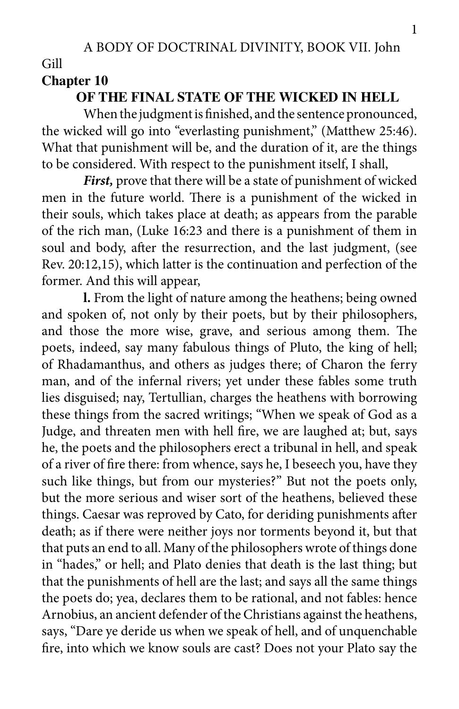Gill

## **Chapter 10**

## **OF THE FINAL STATE OF THE WICKED IN HELL**

When the judgment is finished, and the sentence pronounced, the wicked will go into "everlasting punishment," (Matthew 25:46). What that punishment will be, and the duration of it, are the things to be considered. With respect to the punishment itself, I shall,

*First,* prove that there will be a state of punishment of wicked men in the future world. There is a punishment of the wicked in their souls, which takes place at death; as appears from the parable of the rich man, (Luke 16:23 and there is a punishment of them in soul and body, after the resurrection, and the last judgment, (see Rev. 20:12,15), which latter is the continuation and perfection of the former. And this will appear,

**l.** From the light of nature among the heathens; being owned and spoken of, not only by their poets, but by their philosophers, and those the more wise, grave, and serious among them. The poets, indeed, say many fabulous things of Pluto, the king of hell; of Rhadamanthus, and others as judges there; of Charon the ferry man, and of the infernal rivers; yet under these fables some truth lies disguised; nay, Tertullian, charges the heathens with borrowing these things from the sacred writings; "When we speak of God as a Judge, and threaten men with hell fire, we are laughed at; but, says he, the poets and the philosophers erect a tribunal in hell, and speak of a river of fire there: from whence, says he, I beseech you, have they such like things, but from our mysteries?" But not the poets only, but the more serious and wiser sort of the heathens, believed these things. Caesar was reproved by Cato, for deriding punishments after death; as if there were neither joys nor torments beyond it, but that that puts an end to all. Many of the philosophers wrote of things done in "hades," or hell; and Plato denies that death is the last thing; but that the punishments of hell are the last; and says all the same things the poets do; yea, declares them to be rational, and not fables: hence Arnobius, an ancient defender of the Christians against the heathens, says, "Dare ye deride us when we speak of hell, and of unquenchable fire, into which we know souls are cast? Does not your Plato say the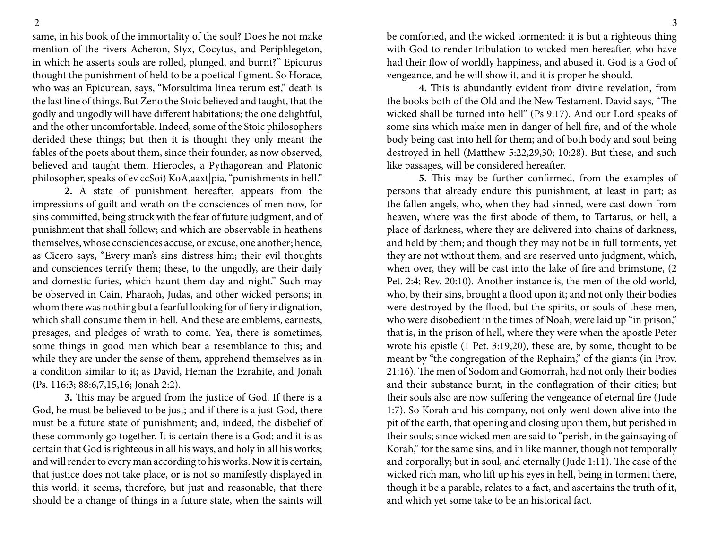same, in his book of the immortality of the soul? Does he not make mention of the rivers Acheron, Styx, Cocytus, and Periphlegeton, in which he asserts souls are rolled, plunged, and burnt?" Epicurus thought the punishment of held to be a poetical figment. So Horace, who was an Epicurean, says, "Morsultima linea rerum est," death is the last line of things. But Zeno the Stoic believed and taught, that the godly and ungodly will have different habitations; the one delightful, and the other uncomfortable. Indeed, some of the Stoic philosophers derided these things; but then it is thought they only meant the fables of the poets about them, since their founder, as now observed, believed and taught them. Hierocles, a Pythagorean and Platonic philosopher, speaks of ev ccSoi) KoA,aaxt|pia, "punishments in hell."

**2.** A state of punishment hereafter, appears from the impressions of guilt and wrath on the consciences of men now, for sins committed, being struck with the fear of future judgment, and of punishment that shall follow; and which are observable in heathens themselves, whose consciences accuse, or excuse, one another; hence, as Cicero says, "Every man's sins distress him; their evil thoughts and consciences terrify them; these, to the ungodly, are their daily and domestic furies, which haunt them day and night." Such may be observed in Cain, Pharaoh, Judas, and other wicked persons; in whom there was nothing but a fearful looking for of fiery indignation, which shall consume them in hell. And these are emblems, earnests, presages, and pledges of wrath to come. Yea, there is sometimes, some things in good men which bear a resemblance to this; and while they are under the sense of them, apprehend themselves as in a condition similar to it; as David, Heman the Ezrahite, and Jonah (Ps. 116:3; 88:6,7,15,16; Jonah 2:2).

**3.** This may be argued from the justice of God. If there is a God, he must be believed to be just; and if there is a just God, there must be a future state of punishment; and, indeed, the disbelief of these commonly go together. It is certain there is a God; and it is as certain that God is righteous in all his ways, and holy in all his works; and will render to every man according to his works. Now it is certain, that justice does not take place, or is not so manifestly displayed in this world; it seems, therefore, but just and reasonable, that there should be a change of things in a future state, when the saints will

be comforted, and the wicked tormented: it is but a righteous thing with God to render tribulation to wicked men hereafter, who have had their flow of worldly happiness, and abused it. God is a God of vengeance, and he will show it, and it is proper he should.

**4.** This is abundantly evident from divine revelation, from the books both of the Old and the New Testament. David says, "The wicked shall be turned into hell" (Ps 9:17). And our Lord speaks of some sins which make men in danger of hell fire, and of the whole body being cast into hell for them; and of both body and soul being destroyed in hell (Matthew 5:22,29,30; 10:28). But these, and such like passages, will be considered hereafter.

**5.** This may be further confirmed, from the examples of persons that already endure this punishment, at least in part; as the fallen angels, who, when they had sinned, were cast down from heaven, where was the first abode of them, to Tartarus, or hell, a place of darkness, where they are delivered into chains of darkness, and held by them; and though they may not be in full torments, yet they are not without them, and are reserved unto judgment, which, when over, they will be cast into the lake of fire and brimstone, (2 Pet. 2:4; Rev. 20:10). Another instance is, the men of the old world, who, by their sins, brought a flood upon it; and not only their bodies were destroyed by the flood, but the spirits, or souls of these men, who were disobedient in the times of Noah, were laid up "in prison," that is, in the prison of hell, where they were when the apostle Peter wrote his epistle (1 Pet. 3:19,20), these are, by some, thought to be meant by "the congregation of the Rephaim," of the giants (in Prov. 21:16). The men of Sodom and Gomorrah, had not only their bodies and their substance burnt, in the conflagration of their cities; but their souls also are now suffering the vengeance of eternal fire (Jude 1:7). So Korah and his company, not only went down alive into the pit of the earth, that opening and closing upon them, but perished in their souls; since wicked men are said to "perish, in the gainsaying of Korah," for the same sins, and in like manner, though not temporally and corporally; but in soul, and eternally (Jude 1:11). The case of the wicked rich man, who lift up his eyes in hell, being in torment there, though it be a parable, relates to a fact, and ascertains the truth of it, and which yet some take to be an historical fact.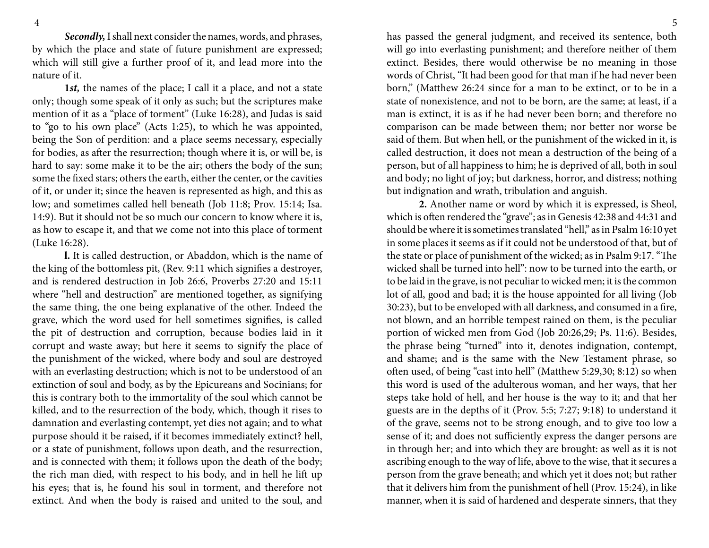*Secondly,* I shall next consider the names, words, and phrases, by which the place and state of future punishment are expressed; which will still give a further proof of it, and lead more into the nature of it.

**1***st,* the names of the place; I call it a place, and not a state only; though some speak of it only as such; but the scriptures make mention of it as a "place of torment" (Luke 16:28), and Judas is said to "go to his own place" (Acts 1:25), to which he was appointed, being the Son of perdition: and a place seems necessary, especially for bodies, as after the resurrection; though where it is, or will be, is hard to say: some make it to be the air; others the body of the sun; some the fixed stars; others the earth, either the center, or the cavities of it, or under it; since the heaven is represented as high, and this as low; and sometimes called hell beneath (Job 11:8; Prov. 15:14; Isa. 14:9). But it should not be so much our concern to know where it is, as how to escape it, and that we come not into this place of torment (Luke 16:28).

**l.** It is called destruction, or Abaddon, which is the name of the king of the bottomless pit, (Rev. 9:11 which signifies a destroyer, and is rendered destruction in Job 26:6, Proverbs 27:20 and 15:11 where "hell and destruction" are mentioned together, as signifying the same thing, the one being explanative of the other. Indeed the grave, which the word used for hell sometimes signifies, is called the pit of destruction and corruption, because bodies laid in it corrupt and waste away; but here it seems to signify the place of the punishment of the wicked, where body and soul are destroyed with an everlasting destruction; which is not to be understood of an extinction of soul and body, as by the Epicureans and Socinians; for this is contrary both to the immortality of the soul which cannot be killed, and to the resurrection of the body, which, though it rises to damnation and everlasting contempt, yet dies not again; and to what purpose should it be raised, if it becomes immediately extinct? hell, or a state of punishment, follows upon death, and the resurrection, and is connected with them; it follows upon the death of the body; the rich man died, with respect to his body, and in hell he lift up his eyes; that is, he found his soul in torment, and therefore not extinct. And when the body is raised and united to the soul, and

has passed the general judgment, and received its sentence, both will go into everlasting punishment; and therefore neither of them extinct. Besides, there would otherwise be no meaning in those words of Christ, "It had been good for that man if he had never been born," (Matthew 26:24 since for a man to be extinct, or to be in a state of nonexistence, and not to be born, are the same; at least, if a man is extinct, it is as if he had never been born; and therefore no comparison can be made between them; nor better nor worse be said of them. But when hell, or the punishment of the wicked in it, is called destruction, it does not mean a destruction of the being of a person, but of all happiness to him; he is deprived of all, both in soul and body; no light of joy; but darkness, horror, and distress; nothing but indignation and wrath, tribulation and anguish.

**2.** Another name or word by which it is expressed, is Sheol, which is often rendered the "grave"; as in Genesis 42:38 and 44:31 and should be where it is sometimes translated "hell," as in Psalm 16:10 yet in some places it seems as if it could not be understood of that, but of the state or place of punishment of the wicked; as in Psalm 9:17. "The wicked shall be turned into hell": now to be turned into the earth, or to be laid in the grave, is not peculiar to wicked men; it is the common lot of all, good and bad; it is the house appointed for all living (Job 30:23), but to be enveloped with all darkness, and consumed in a fire, not blown, and an horrible tempest rained on them, is the peculiar portion of wicked men from God (Job 20:26,29; Ps. 11:6). Besides, the phrase being "turned" into it, denotes indignation, contempt, and shame; and is the same with the New Testament phrase, so often used, of being "cast into hell" (Matthew 5:29,30; 8:12) so when this word is used of the adulterous woman, and her ways, that her steps take hold of hell, and her house is the way to it; and that her guests are in the depths of it (Prov. 5:5; 7:27; 9:18) to understand it of the grave, seems not to be strong enough, and to give too low a sense of it; and does not sufficiently express the danger persons are in through her; and into which they are brought: as well as it is not ascribing enough to the way of life, above to the wise, that it secures a person from the grave beneath; and which yet it does not; but rather that it delivers him from the punishment of hell (Prov. 15:24), in like manner, when it is said of hardened and desperate sinners, that they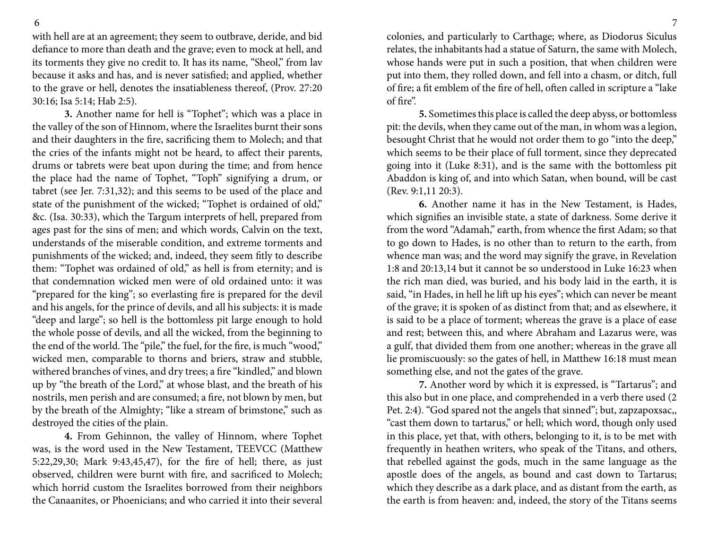with hell are at an agreement; they seem to outbrave, deride, and bid defiance to more than death and the grave; even to mock at hell, and its torments they give no credit to. It has its name, "Sheol," from lav because it asks and has, and is never satisfied; and applied, whether to the grave or hell, denotes the insatiableness thereof, (Prov. 27:20 30:16; Isa 5:14; Hab 2:5).

**3.** Another name for hell is "Tophet"; which was a place in the valley of the son of Hinnom, where the Israelites burnt their sons and their daughters in the fire, sacrificing them to Molech; and that the cries of the infants might not be heard, to affect their parents, drums or tabrets were beat upon during the time; and from hence the place had the name of Tophet, "Toph" signifying a drum, or tabret (see Jer. 7:31,32); and this seems to be used of the place and state of the punishment of the wicked; "Tophet is ordained of old," &c. (Isa. 30:33), which the Targum interprets of hell, prepared from ages past for the sins of men; and which words, Calvin on the text, understands of the miserable condition, and extreme torments and punishments of the wicked; and, indeed, they seem fitly to describe them: "Tophet was ordained of old," as hell is from eternity; and is that condemnation wicked men were of old ordained unto: it was "prepared for the king"; so everlasting fire is prepared for the devil and his angels, for the prince of devils, and all his subjects: it is made "deep and large"; so hell is the bottomless pit large enough to hold the whole posse of devils, and all the wicked, from the beginning to the end of the world. The "pile," the fuel, for the fire, is much "wood," wicked men, comparable to thorns and briers, straw and stubble, withered branches of vines, and dry trees; a fire "kindled," and blown up by "the breath of the Lord," at whose blast, and the breath of his nostrils, men perish and are consumed; a fire, not blown by men, but by the breath of the Almighty; "like a stream of brimstone," such as destroyed the cities of the plain.

**4.** From Gehinnon, the valley of Hinnom, where Tophet was, is the word used in the New Testament, TEEVCC (Matthew 5:22,29,30; Mark 9:43,45,47), for the fire of hell; there, as just observed, children were burnt with fire, and sacrificed to Molech; which horrid custom the Israelites borrowed from their neighbors the Canaanites, or Phoenicians; and who carried it into their several

colonies, and particularly to Carthage; where, as Diodorus Siculus relates, the inhabitants had a statue of Saturn, the same with Molech, whose hands were put in such a position, that when children were put into them, they rolled down, and fell into a chasm, or ditch, full of fire; a fit emblem of the fire of hell, often called in scripture a "lake of fire".

**5.** Sometimes this place is called the deep abyss, or bottomless pit: the devils, when they came out of the man, in whom was a legion, besought Christ that he would not order them to go "into the deep," which seems to be their place of full torment, since they deprecated going into it (Luke 8:31), and is the same with the bottomless pit Abaddon is king of, and into which Satan, when bound, will be cast (Rev. 9:1,11 20:3).

**6.** Another name it has in the New Testament, is Hades, which signifies an invisible state, a state of darkness. Some derive it from the word "Adamah," earth, from whence the first Adam; so that to go down to Hades, is no other than to return to the earth, from whence man was; and the word may signify the grave, in Revelation 1:8 and 20:13,14 but it cannot be so understood in Luke 16:23 when the rich man died, was buried, and his body laid in the earth, it is said, "in Hades, in hell he lift up his eyes"; which can never be meant of the grave; it is spoken of as distinct from that; and as elsewhere, it is said to be a place of torment; whereas the grave is a place of ease and rest; between this, and where Abraham and Lazarus were, was a gulf, that divided them from one another; whereas in the grave all lie promiscuously: so the gates of hell, in Matthew 16:18 must mean something else, and not the gates of the grave.

**7.** Another word by which it is expressed, is "Tartarus"; and this also but in one place, and comprehended in a verb there used (2 Pet. 2:4). "God spared not the angels that sinned"; but, zapzapoxsac,, "cast them down to tartarus," or hell; which word, though only used in this place, yet that, with others, belonging to it, is to be met with frequently in heathen writers, who speak of the Titans, and others, that rebelled against the gods, much in the same language as the apostle does of the angels, as bound and cast down to Tartarus; which they describe as a dark place, and as distant from the earth, as the earth is from heaven: and, indeed, the story of the Titans seems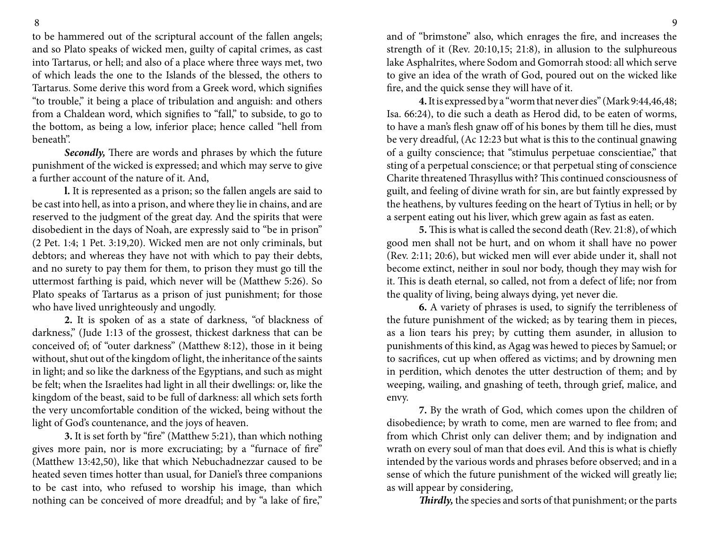to be hammered out of the scriptural account of the fallen angels; and so Plato speaks of wicked men, guilty of capital crimes, as cast into Tartarus, or hell; and also of a place where three ways met, two of which leads the one to the Islands of the blessed, the others to Tartarus. Some derive this word from a Greek word, which signifies "to trouble," it being a place of tribulation and anguish: and others from a Chaldean word, which signifies to "fall," to subside, to go to the bottom, as being a low, inferior place; hence called "hell from beneath".

*Secondly,* There are words and phrases by which the future punishment of the wicked is expressed; and which may serve to give a further account of the nature of it. And,

**l.** It is represented as a prison; so the fallen angels are said to be cast into hell, as into a prison, and where they lie in chains, and are reserved to the judgment of the great day. And the spirits that were disobedient in the days of Noah, are expressly said to "be in prison" (2 Pet. 1:4; 1 Pet. 3:19,20). Wicked men are not only criminals, but debtors; and whereas they have not with which to pay their debts, and no surety to pay them for them, to prison they must go till the uttermost farthing is paid, which never will be (Matthew 5:26). So Plato speaks of Tartarus as a prison of just punishment; for those who have lived unrighteously and ungodly.

**2.** It is spoken of as a state of darkness, "of blackness of darkness," (Jude 1:13 of the grossest, thickest darkness that can be conceived of; of "outer darkness" (Matthew 8:12), those in it being without, shut out of the kingdom of light, the inheritance of the saints in light; and so like the darkness of the Egyptians, and such as might be felt; when the Israelites had light in all their dwellings: or, like the kingdom of the beast, said to be full of darkness: all which sets forth the very uncomfortable condition of the wicked, being without the light of God's countenance, and the joys of heaven.

**3.** It is set forth by "fire" (Matthew 5:21), than which nothing gives more pain, nor is more excruciating; by a "furnace of fire" (Matthew 13:42,50), like that which Nebuchadnezzar caused to be heated seven times hotter than usual, for Daniel's three companions to be cast into, who refused to worship his image, than which nothing can be conceived of more dreadful; and by "a lake of fire,"

and of "brimstone" also, which enrages the fire, and increases the strength of it (Rev. 20:10,15; 21:8), in allusion to the sulphureous lake Asphalrites, where Sodom and Gomorrah stood: all which serve to give an idea of the wrath of God, poured out on the wicked like fire, and the quick sense they will have of it.

**4.** It is expressed by a "worm that never dies" (Mark 9:44,46,48; Isa. 66:24), to die such a death as Herod did, to be eaten of worms, to have a man's flesh gnaw off of his bones by them till he dies, must be very dreadful, (Ac 12:23 but what is this to the continual gnawing of a guilty conscience; that "stimulus perpetuae conscientiae," that sting of a perpetual conscience; or that perpetual sting of conscience Charite threatened Thrasyllus with? This continued consciousness of guilt, and feeling of divine wrath for sin, are but faintly expressed by the heathens, by vultures feeding on the heart of Tytius in hell; or by a serpent eating out his liver, which grew again as fast as eaten.

**5.** This is what is called the second death (Rev. 21:8), of which good men shall not be hurt, and on whom it shall have no power (Rev. 2:11; 20:6), but wicked men will ever abide under it, shall not become extinct, neither in soul nor body, though they may wish for it. This is death eternal, so called, not from a defect of life; nor from the quality of living, being always dying, yet never die.

**6.** A variety of phrases is used, to signify the terribleness of the future punishment of the wicked; as by tearing them in pieces, as a lion tears his prey; by cutting them asunder, in allusion to punishments of this kind, as Agag was hewed to pieces by Samuel; or to sacrifices, cut up when offered as victims; and by drowning men in perdition, which denotes the utter destruction of them; and by weeping, wailing, and gnashing of teeth, through grief, malice, and envy.

**7.** By the wrath of God, which comes upon the children of disobedience; by wrath to come, men are warned to flee from; and from which Christ only can deliver them; and by indignation and wrath on every soul of man that does evil. And this is what is chiefly intended by the various words and phrases before observed; and in a sense of which the future punishment of the wicked will greatly lie; as will appear by considering,

*Thirdly,* the species and sorts of that punishment; or the parts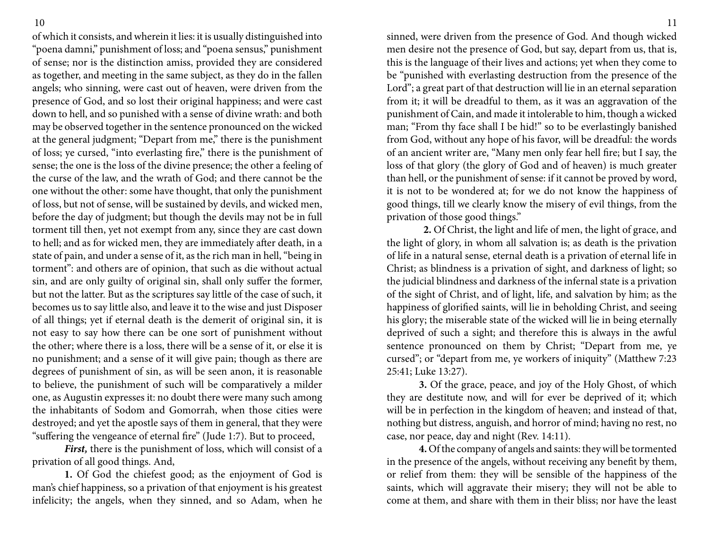of which it consists, and wherein it lies: it is usually distinguished into "poena damni," punishment of loss; and "poena sensus," punishment of sense; nor is the distinction amiss, provided they are considered as together, and meeting in the same subject, as they do in the fallen angels; who sinning, were cast out of heaven, were driven from the presence of God, and so lost their original happiness; and were cast down to hell, and so punished with a sense of divine wrath: and both may be observed together in the sentence pronounced on the wicked at the general judgment; "Depart from me," there is the punishment of loss; ye cursed, "into everlasting fire," there is the punishment of sense; the one is the loss of the divine presence; the other a feeling of the curse of the law, and the wrath of God; and there cannot be the one without the other: some have thought, that only the punishment of loss, but not of sense, will be sustained by devils, and wicked men, before the day of judgment; but though the devils may not be in full torment till then, yet not exempt from any, since they are cast down to hell; and as for wicked men, they are immediately after death, in a state of pain, and under a sense of it, as the rich man in hell, "being in torment": and others are of opinion, that such as die without actual sin, and are only guilty of original sin, shall only suffer the former, but not the latter. But as the scriptures say little of the case of such, it becomes us to say little also, and leave it to the wise and just Disposer of all things; yet if eternal death is the demerit of original sin, it is not easy to say how there can be one sort of punishment without the other; where there is a loss, there will be a sense of it, or else it is no punishment; and a sense of it will give pain; though as there are degrees of punishment of sin, as will be seen anon, it is reasonable to believe, the punishment of such will be comparatively a milder one, as Augustin expresses it: no doubt there were many such among the inhabitants of Sodom and Gomorrah, when those cities were destroyed; and yet the apostle says of them in general, that they were "suffering the vengeance of eternal fire" (Jude 1:7). But to proceed,

*First,* there is the punishment of loss, which will consist of a privation of all good things. And,

**1.** Of God the chiefest good; as the enjoyment of God is man's chief happiness, so a privation of that enjoyment is his greatest infelicity; the angels, when they sinned, and so Adam, when he

sinned, were driven from the presence of God. And though wicked men desire not the presence of God, but say, depart from us, that is, this is the language of their lives and actions; yet when they come to be "punished with everlasting destruction from the presence of the Lord"; a great part of that destruction will lie in an eternal separation from it; it will be dreadful to them, as it was an aggravation of the punishment of Cain, and made it intolerable to him, though a wicked man; "From thy face shall I be hid!" so to be everlastingly banished from God, without any hope of his favor, will be dreadful: the words of an ancient writer are, "Many men only fear hell fire; but I say, the loss of that glory (the glory of God and of heaven) is much greater than hell, or the punishment of sense: if it cannot be proved by word, it is not to be wondered at; for we do not know the happiness of good things, till we clearly know the misery of evil things, from the privation of those good things."

 **2.** Of Christ, the light and life of men, the light of grace, and the light of glory, in whom all salvation is; as death is the privation of life in a natural sense, eternal death is a privation of eternal life in Christ; as blindness is a privation of sight, and darkness of light; so the judicial blindness and darkness of the infernal state is a privation of the sight of Christ, and of light, life, and salvation by him; as the happiness of glorified saints, will lie in beholding Christ, and seeing his glory; the miserable state of the wicked will lie in being eternally deprived of such a sight; and therefore this is always in the awful sentence pronounced on them by Christ; "Depart from me, ye cursed"; or "depart from me, ye workers of iniquity" (Matthew 7:23 25:41; Luke 13:27).

**3.** Of the grace, peace, and joy of the Holy Ghost, of which they are destitute now, and will for ever be deprived of it; which will be in perfection in the kingdom of heaven; and instead of that, nothing but distress, anguish, and horror of mind; having no rest, no case, nor peace, day and night (Rev. 14:11).

**4.** Of the company of angels and saints: they will be tormented in the presence of the angels, without receiving any benefit by them, or relief from them: they will be sensible of the happiness of the saints, which will aggravate their misery; they will not be able to come at them, and share with them in their bliss; nor have the least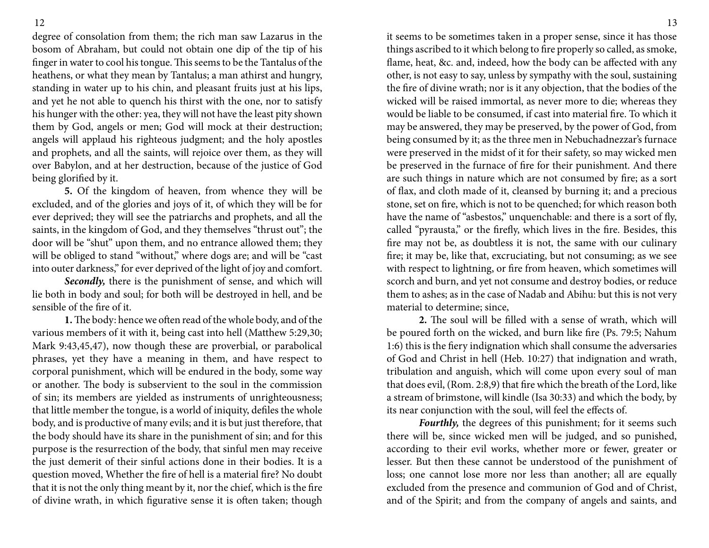degree of consolation from them; the rich man saw Lazarus in the bosom of Abraham, but could not obtain one dip of the tip of his finger in water to cool his tongue. This seems to be the Tantalus of the heathens, or what they mean by Tantalus; a man athirst and hungry, standing in water up to his chin, and pleasant fruits just at his lips, and yet he not able to quench his thirst with the one, nor to satisfy his hunger with the other: yea, they will not have the least pity shown them by God, angels or men; God will mock at their destruction; angels will applaud his righteous judgment; and the holy apostles and prophets, and all the saints, will rejoice over them, as they will over Babylon, and at her destruction, because of the justice of God being glorified by it.

**5.** Of the kingdom of heaven, from whence they will be excluded, and of the glories and joys of it, of which they will be for ever deprived; they will see the patriarchs and prophets, and all the saints, in the kingdom of God, and they themselves "thrust out"; the door will be "shut" upon them, and no entrance allowed them; they will be obliged to stand "without," where dogs are; and will be "cast into outer darkness," for ever deprived of the light of joy and comfort.

*Secondly,* there is the punishment of sense, and which will lie both in body and soul; for both will be destroyed in hell, and be sensible of the fire of it.

**1.** The body: hence we often read of the whole body, and of the various members of it with it, being cast into hell (Matthew 5:29,30; Mark 9:43,45,47), now though these are proverbial, or parabolical phrases, yet they have a meaning in them, and have respect to corporal punishment, which will be endured in the body, some way or another. The body is subservient to the soul in the commission of sin; its members are yielded as instruments of unrighteousness; that little member the tongue, is a world of iniquity, defiles the whole body, and is productive of many evils; and it is but just therefore, that the body should have its share in the punishment of sin; and for this purpose is the resurrection of the body, that sinful men may receive the just demerit of their sinful actions done in their bodies. It is a question moved, Whether the fire of hell is a material fire? No doubt that it is not the only thing meant by it, nor the chief, which is the fire of divine wrath, in which figurative sense it is often taken; though

it seems to be sometimes taken in a proper sense, since it has those things ascribed to it which belong to fire properly so called, as smoke, flame, heat, &c. and, indeed, how the body can be affected with any other, is not easy to say, unless by sympathy with the soul, sustaining the fire of divine wrath; nor is it any objection, that the bodies of the wicked will be raised immortal, as never more to die; whereas they would be liable to be consumed, if cast into material fire. To which it may be answered, they may be preserved, by the power of God, from being consumed by it; as the three men in Nebuchadnezzar's furnace were preserved in the midst of it for their safety, so may wicked men be preserved in the furnace of fire for their punishment. And there are such things in nature which are not consumed by fire; as a sort of flax, and cloth made of it, cleansed by burning it; and a precious stone, set on fire, which is not to be quenched; for which reason both have the name of "asbestos," unquenchable: and there is a sort of fly, called "pyrausta," or the firefly, which lives in the fire. Besides, this fire may not be, as doubtless it is not, the same with our culinary fire; it may be, like that, excruciating, but not consuming; as we see with respect to lightning, or fire from heaven, which sometimes will scorch and burn, and yet not consume and destroy bodies, or reduce them to ashes; as in the case of Nadab and Abihu: but this is not very material to determine; since,

**2.** The soul will be filled with a sense of wrath, which will be poured forth on the wicked, and burn like fire (Ps. 79:5; Nahum 1:6) this is the fiery indignation which shall consume the adversaries of God and Christ in hell (Heb. 10:27) that indignation and wrath, tribulation and anguish, which will come upon every soul of man that does evil, (Rom. 2:8,9) that fire which the breath of the Lord, like a stream of brimstone, will kindle (Isa 30:33) and which the body, by its near conjunction with the soul, will feel the effects of.

*Fourthly,* the degrees of this punishment; for it seems such there will be, since wicked men will be judged, and so punished, according to their evil works, whether more or fewer, greater or lesser. But then these cannot be understood of the punishment of loss; one cannot lose more nor less than another; all are equally excluded from the presence and communion of God and of Christ, and of the Spirit; and from the company of angels and saints, and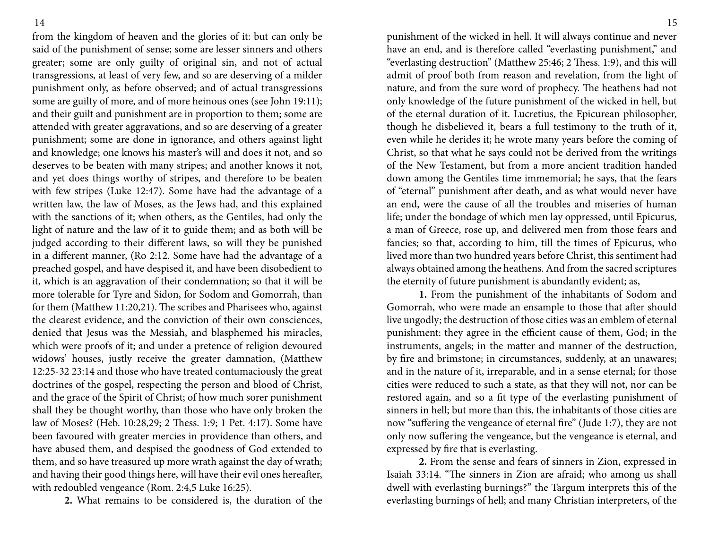from the kingdom of heaven and the glories of it: but can only be said of the punishment of sense; some are lesser sinners and others greater; some are only guilty of original sin, and not of actual transgressions, at least of very few, and so are deserving of a milder punishment only, as before observed; and of actual transgressions some are guilty of more, and of more heinous ones (see John 19:11); and their guilt and punishment are in proportion to them; some are attended with greater aggravations, and so are deserving of a greater punishment; some are done in ignorance, and others against light and knowledge; one knows his master's will and does it not, and so deserves to be beaten with many stripes; and another knows it not, and yet does things worthy of stripes, and therefore to be beaten with few stripes (Luke 12:47). Some have had the advantage of a written law, the law of Moses, as the Jews had, and this explained with the sanctions of it; when others, as the Gentiles, had only the light of nature and the law of it to guide them; and as both will be judged according to their different laws, so will they be punished in a different manner, (Ro 2:12. Some have had the advantage of a preached gospel, and have despised it, and have been disobedient to it, which is an aggravation of their condemnation; so that it will be more tolerable for Tyre and Sidon, for Sodom and Gomorrah, than for them (Matthew 11:20,21). The scribes and Pharisees who, against the clearest evidence, and the conviction of their own consciences, denied that Jesus was the Messiah, and blasphemed his miracles, which were proofs of it; and under a pretence of religion devoured widows' houses, justly receive the greater damnation, (Matthew 12:25-32 23:14 and those who have treated contumaciously the great doctrines of the gospel, respecting the person and blood of Christ, and the grace of the Spirit of Christ; of how much sorer punishment shall they be thought worthy, than those who have only broken the law of Moses? (Heb. 10:28,29; 2 Thess. 1:9; 1 Pet. 4:17). Some have been favoured with greater mercies in providence than others, and have abused them, and despised the goodness of God extended to them, and so have treasured up more wrath against the day of wrath; and having their good things here, will have their evil ones hereafter, with redoubled vengeance (Rom. 2:4,5 Luke 16:25).

**2.** What remains to be considered is, the duration of the

punishment of the wicked in hell. It will always continue and never have an end, and is therefore called "everlasting punishment," and "everlasting destruction" (Matthew 25:46; 2 Thess. 1:9), and this will admit of proof both from reason and revelation, from the light of nature, and from the sure word of prophecy. The heathens had not only knowledge of the future punishment of the wicked in hell, but of the eternal duration of it. Lucretius, the Epicurean philosopher, though he disbelieved it, bears a full testimony to the truth of it, even while he derides it; he wrote many years before the coming of Christ, so that what he says could not be derived from the writings of the New Testament, but from a more ancient tradition handed down among the Gentiles time immemorial; he says, that the fears of "eternal" punishment after death, and as what would never have an end, were the cause of all the troubles and miseries of human life; under the bondage of which men lay oppressed, until Epicurus, a man of Greece, rose up, and delivered men from those fears and fancies; so that, according to him, till the times of Epicurus, who lived more than two hundred years before Christ, this sentiment had always obtained among the heathens. And from the sacred scriptures the eternity of future punishment is abundantly evident; as,

**1.** From the punishment of the inhabitants of Sodom and Gomorrah, who were made an ensample to those that after should live ungodly; the destruction of those cities was an emblem of eternal punishment: they agree in the efficient cause of them, God; in the instruments, angels; in the matter and manner of the destruction, by fire and brimstone; in circumstances, suddenly, at an unawares; and in the nature of it, irreparable, and in a sense eternal; for those cities were reduced to such a state, as that they will not, nor can be restored again, and so a fit type of the everlasting punishment of sinners in hell; but more than this, the inhabitants of those cities are now "suffering the vengeance of eternal fire" (Jude 1:7), they are not only now suffering the vengeance, but the vengeance is eternal, and expressed by fire that is everlasting.

**2.** From the sense and fears of sinners in Zion, expressed in Isaiah 33:14. "The sinners in Zion are afraid; who among us shall dwell with everlasting burnings?" the Targum interprets this of the everlasting burnings of hell; and many Christian interpreters, of the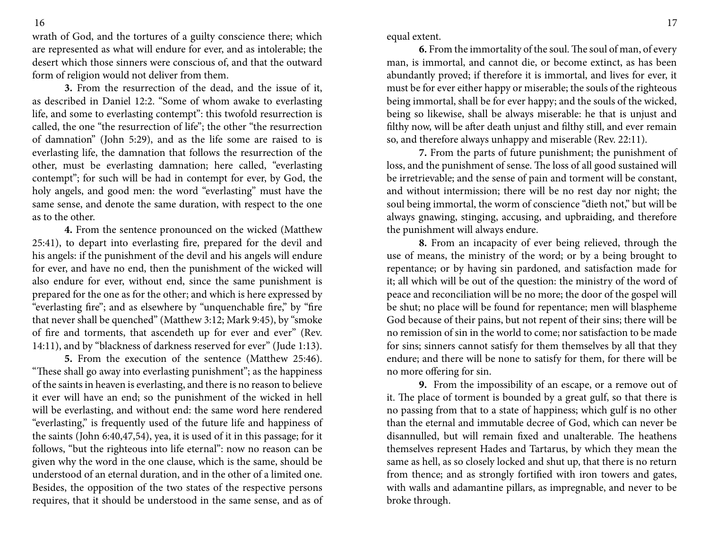wrath of God, and the tortures of a guilty conscience there; which are represented as what will endure for ever, and as intolerable; the desert which those sinners were conscious of, and that the outward form of religion would not deliver from them.

**3.** From the resurrection of the dead, and the issue of it, as described in Daniel 12:2. "Some of whom awake to everlasting life, and some to everlasting contempt": this twofold resurrection is called, the one "the resurrection of life"; the other "the resurrection of damnation" (John 5:29), and as the life some are raised to is everlasting life, the damnation that follows the resurrection of the other, must be everlasting damnation; here called, "everlasting contempt"; for such will be had in contempt for ever, by God, the holy angels, and good men: the word "everlasting" must have the same sense, and denote the same duration, with respect to the one as to the other.

**4.** From the sentence pronounced on the wicked (Matthew 25:41), to depart into everlasting fire, prepared for the devil and his angels: if the punishment of the devil and his angels will endure for ever, and have no end, then the punishment of the wicked will also endure for ever, without end, since the same punishment is prepared for the one as for the other; and which is here expressed by "everlasting fire"; and as elsewhere by "unquenchable fire," by "fire that never shall be quenched" (Matthew 3:12; Mark 9:45), by "smoke of fire and torments, that ascendeth up for ever and ever" (Rev. 14:11), and by "blackness of darkness reserved for ever" (Jude 1:13).

**5.** From the execution of the sentence (Matthew 25:46). "These shall go away into everlasting punishment"; as the happiness of the saints in heaven is everlasting, and there is no reason to believe it ever will have an end; so the punishment of the wicked in hell will be everlasting, and without end: the same word here rendered "everlasting," is frequently used of the future life and happiness of the saints (John 6:40,47,54), yea, it is used of it in this passage; for it follows, "but the righteous into life eternal": now no reason can be given why the word in the one clause, which is the same, should be understood of an eternal duration, and in the other of a limited one. Besides, the opposition of the two states of the respective persons requires, that it should be understood in the same sense, and as of equal extent.

**6.** From the immortality of the soul. The soul of man, of every man, is immortal, and cannot die, or become extinct, as has been abundantly proved; if therefore it is immortal, and lives for ever, it must be for ever either happy or miserable; the souls of the righteous being immortal, shall be for ever happy; and the souls of the wicked, being so likewise, shall be always miserable: he that is unjust and filthy now, will be after death unjust and filthy still, and ever remain so, and therefore always unhappy and miserable (Rev. 22:11).

**7.** From the parts of future punishment; the punishment of loss, and the punishment of sense. The loss of all good sustained will be irretrievable; and the sense of pain and torment will be constant, and without intermission; there will be no rest day nor night; the soul being immortal, the worm of conscience "dieth not," but will be always gnawing, stinging, accusing, and upbraiding, and therefore the punishment will always endure.

**8.** From an incapacity of ever being relieved, through the use of means, the ministry of the word; or by a being brought to repentance; or by having sin pardoned, and satisfaction made for it; all which will be out of the question: the ministry of the word of peace and reconciliation will be no more; the door of the gospel will be shut; no place will be found for repentance; men will blaspheme God because of their pains, but not repent of their sins; there will be no remission of sin in the world to come; nor satisfaction to be made for sins; sinners cannot satisfy for them themselves by all that they endure; and there will be none to satisfy for them, for there will be no more offering for sin.

**9.** From the impossibility of an escape, or a remove out of it. The place of torment is bounded by a great gulf, so that there is no passing from that to a state of happiness; which gulf is no other than the eternal and immutable decree of God, which can never be disannulled, but will remain fixed and unalterable. The heathens themselves represent Hades and Tartarus, by which they mean the same as hell, as so closely locked and shut up, that there is no return from thence; and as strongly fortified with iron towers and gates, with walls and adamantine pillars, as impregnable, and never to be broke through.